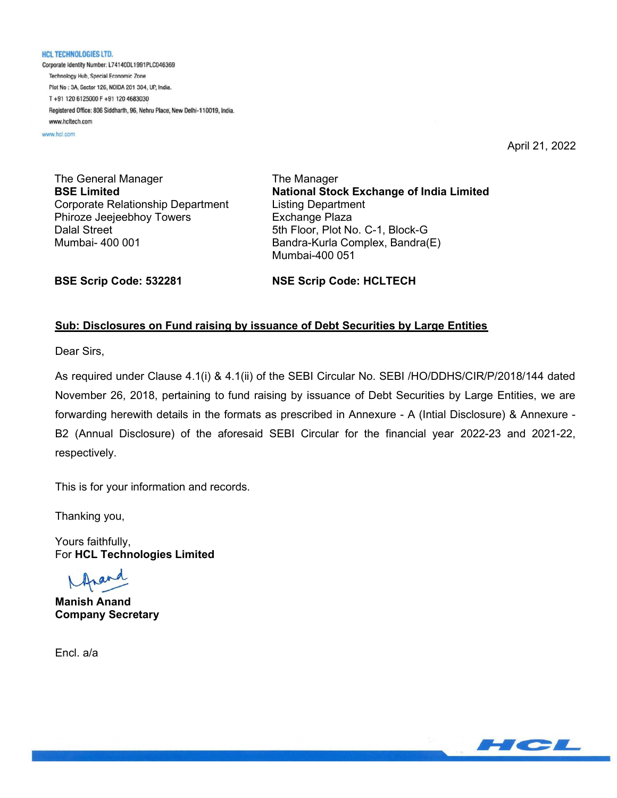**HCL TECHNOLOGIES LTD.** Corporate Identity Number: L74140DL1991PLC046369 Technology Hub, Special Economic Zone Plot No : 3A, Sector 126, NOIDA 201 304, UP, India. T+91 120 6125000 F+91 120 4683030 Registered Office: 806 Siddharth, 96, Nehru Place, New Delhi-110019, India. www.hcltech.com

www.hcl.com

April 21, 2022

The General Manager BSE Limited Corporate Relationship Department Phiroze Jeejeebhoy Towers Dalal Street Mumbai- 400 001

The Manager National Stock Exchange of India Limited Listing Department Exchange Plaza 5th Floor, Plot No. C-1, Block-G Bandra-Kurla Complex, Bandra(E) Mumbai-400 051

BSE Scrip Code: 532281

NSE Scrip Code: HCLTECH

## Sub: Disclosures on Fund raising by issuance of Debt Securities by Large Entities

Dear Sirs,

As required under Clause 4.1(i) & 4.1(ii) of the SEBI Circular No. SEBI /HO/DDHS/CIR/P/2018/144 dated November 26, 2018, pertaining to fund raising by issuance of Debt Securities by Large Entities, we are forwarding herewith details in the formats as prescribed in Annexure - A (Intial Disclosure) & Annexure - B2 (Annual Disclosure) of the aforesaid SEBI Circular for the financial year 2022-23 and 2021-22, respectively.

This is for your information and records.

Thanking you,

Yours faithfully, For HCL Technologies Limited

Manish Anand Company Secretary

Encl. a/a

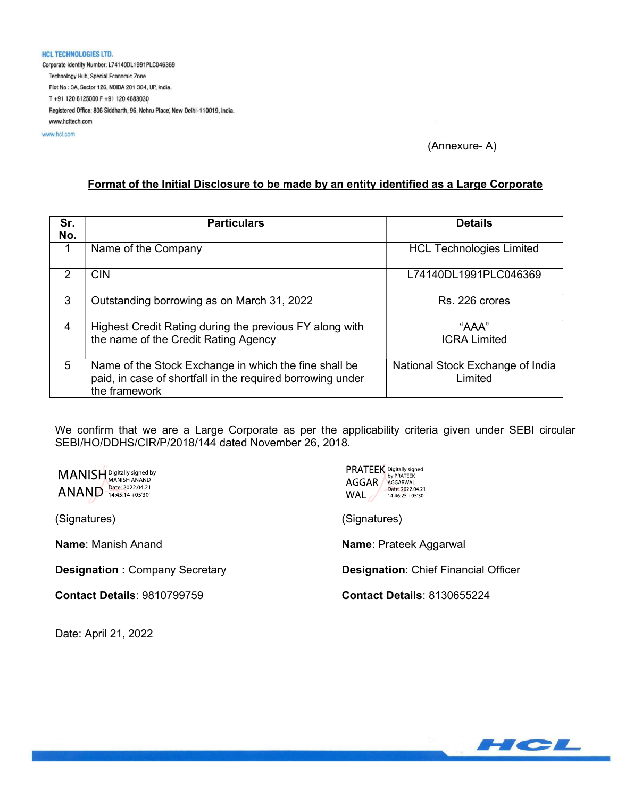#### **HCL TECHNOLOGIES LTD.**

Corporate Identity Number: L74140DL1991PLC046369 Technology Hub, Special Economic Zone Plot No : 3A, Sector 126, NOIDA 201 304, UP, India. T+91 120 6125000 F+91 120 4683030 Registered Office: 806 Siddharth, 96, Nehru Place, New Delhi-110019, India. www.hcltech.com

www.hcl.com

### (Annexure- A)

#### Format of the Initial Disclosure to be made by an entity identified as a Large Corporate

| Sr.<br>No.    | <b>Particulars</b>                                                                                                                   | <b>Details</b>                              |
|---------------|--------------------------------------------------------------------------------------------------------------------------------------|---------------------------------------------|
| 1             | Name of the Company                                                                                                                  | <b>HCL Technologies Limited</b>             |
| $\mathcal{P}$ | <b>CIN</b>                                                                                                                           | L74140DL1991PLC046369                       |
| 3             | Outstanding borrowing as on March 31, 2022                                                                                           | Rs. 226 crores                              |
| 4             | Highest Credit Rating during the previous FY along with<br>the name of the Credit Rating Agency                                      | "AAA"<br><b>ICRA Limited</b>                |
| 5             | Name of the Stock Exchange in which the fine shall be<br>paid, in case of shortfall in the required borrowing under<br>the framework | National Stock Exchange of India<br>Limited |

We confirm that we are a Large Corporate as per the applicability criteria given under SEBI circular SEBI/HO/DDHS/CIR/P/2018/144 dated November 26, 2018.

MANISH Digitally signed by **ANAND** Date: 2022.04.21

(Signatures)

Name: Manish Anand

Designation : Company Secretary

Contact Details: 9810799759

Date: April 21, 2022

| <b>PRATEEK</b> Digitally signed<br>by PRATEEK<br>AGGAR .<br>AGGARWAL<br>Date: 2022.04.21<br>WAL<br>14:46:25 +05'30' |
|---------------------------------------------------------------------------------------------------------------------|
| (Signatures)                                                                                                        |
| <b>Name: Prateek Aggarwal</b>                                                                                       |
| <b>Designation: Chief Financial Officer</b>                                                                         |
| <b>Contact Details: 8130655224</b>                                                                                  |
|                                                                                                                     |

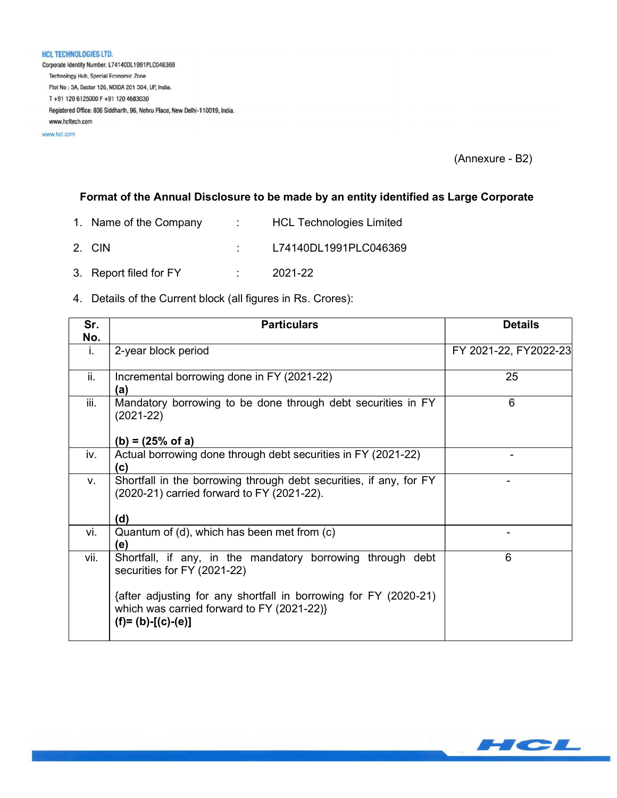HCL TECHNOLOGIES LTD. Corporate Identity Number: L74140DL1991PLC046369 Technology Hub, Special Economic Zone Plot No: 3A, Sector 126, NOIDA 201 304, UP, India. T+91 120 6125000 F+91 120 4683030 Registered Office: 806 Siddharth, 96, Nehru Place, New Delhi-110019, India. www.hcltech.com

www.hcl.com

(Annexure - B2)

# Format of the Annual Disclosure to be made by an entity identified as Large Corporate

- 1. Name of the Company : HCL Technologies Limited
- 2. CIN : L74140DL1991PLC046369
- 3. Report filed for FY : 2021-22

#### 4. Details of the Current block (all figures in Rs. Crores):

| Sr.  | <b>Particulars</b>                                                                                                                    | <b>Details</b>        |
|------|---------------------------------------------------------------------------------------------------------------------------------------|-----------------------|
| No.  |                                                                                                                                       |                       |
| i.   | 2-year block period                                                                                                                   | FY 2021-22, FY2022-23 |
| ii.  | Incremental borrowing done in FY (2021-22)<br>(a)                                                                                     | 25                    |
| iii. | Mandatory borrowing to be done through debt securities in FY<br>$(2021-22)$                                                           | 6                     |
|      | $(b) = (25% \text{ of } a)$                                                                                                           |                       |
| iv.  | Actual borrowing done through debt securities in FY (2021-22)<br>(c)                                                                  |                       |
| V.   | Shortfall in the borrowing through debt securities, if any, for FY<br>(2020-21) carried forward to FY (2021-22).                      |                       |
|      | (d)                                                                                                                                   |                       |
| vi.  | Quantum of (d), which has been met from (c)<br>(e)                                                                                    |                       |
| vii. | Shortfall, if any, in the mandatory borrowing through debt<br>securities for FY (2021-22)                                             | 6                     |
|      | {after adjusting for any shortfall in borrowing for FY (2020-21)<br>which was carried forward to FY (2021-22)}<br>$(f)=(b)-[(c)-(e)]$ |                       |